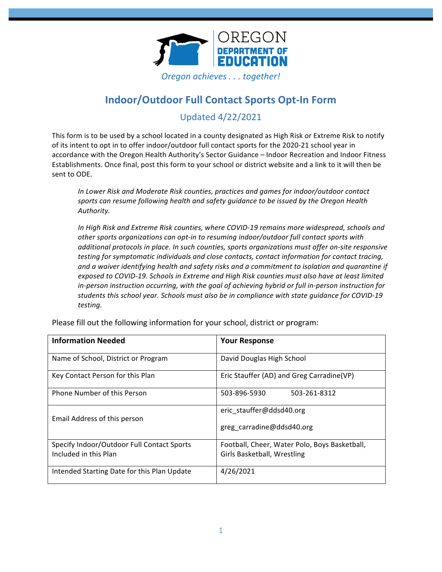

# **Indoor/Outdoor Full Contact Sports Opt-In Form**

Updated 4/22/2021

This form is to be used by a school located in a county designated as High Risk or Extreme Risk to notify of its intent to opt in to offer indoor/outdoor full contact sports for the 2020-21 school year in accordance with the Oregon Health Authority's Sector Guidance - Indoor Recreation and Indoor Fitness Establishments. Once final, post this form to your school or district website and a link to it will then be sent to ODE.

In Lower Risk and Moderate Risk counties, practices and games for indoor/outdoor contact sports can resume following health and safety guidance to be issued by the Oregon Health *Authority.*

In High Risk and Extreme Risk counties, where COVID-19 remains more widespread, schools and other sports organizations can opt-in to resuming indoor/outdoor full contact sports with *additional protocols in place. In such counties, sports organizations must offer on-site responsive testing for symptomatic individuals and close contacts, contact information for contact tracing,* and a waiver identifying health and safety risks and a commitment to isolation and quarantine if exposed to COVID-19. Schools in Extreme and High Risk counties must also have at least limited in-person instruction occurring, with the goal of achieving hybrid or full in-person instruction for students this school year. Schools must also be in compliance with state quidance for COVID-19 *testing.*

| <b>Information Needed</b>                   | <b>Your Response</b>                          |
|---------------------------------------------|-----------------------------------------------|
| Name of School, District or Program         | David Douglas High School                     |
| Key Contact Person for this Plan            | Eric Stauffer (AD) and Greg Carradine (VP)    |
| Phone Number of this Person                 | 503-896-5930<br>503-261-8312                  |
| Email Address of this person                | eric stauffer@ddsd40.org                      |
|                                             | greg carradine@ddsd40.org                     |
| Specify Indoor/Outdoor Full Contact Sports  | Football, Cheer, Water Polo, Boys Basketball, |
| Included in this Plan                       | Girls Basketball, Wrestling                   |
| Intended Starting Date for this Plan Update | 4/26/2021                                     |

Please fill out the following information for your school, district or program: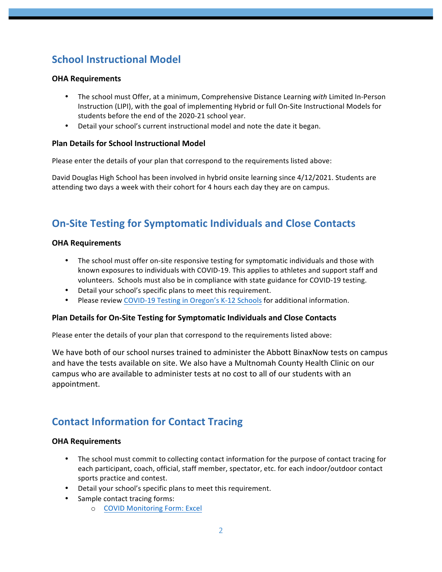# **School Instructional Model**

### **OHA Requirements**

- The school must Offer, at a minimum, Comprehensive Distance Learning *with* Limited In-Person Instruction (LIPI), with the goal of implementing Hybrid or full On-Site Instructional Models for students before the end of the 2020-21 school year.
- Detail your school's current instructional model and note the date it began.

### **Plan Details for School Instructional Model**

Please enter the details of your plan that correspond to the requirements listed above:

David Douglas High School has been involved in hybrid onsite learning since 4/12/2021. Students are attending two days a week with their cohort for 4 hours each day they are on campus.

## **On-Site Testing for Symptomatic Individuals and Close Contacts**

### **OHA Requirements**

- The school must offer on-site responsive testing for symptomatic individuals and those with known exposures to individuals with COVID-19. This applies to athletes and support staff and volunteers. Schools must also be in compliance with state guidance for COVID-19 testing.
- Detail your school's specific plans to meet this requirement.
- Please review COVID-19 Testing in Oregon's K-12 Schools for additional information.

### **Plan Details for On-Site Testing for Symptomatic Individuals and Close Contacts**

Please enter the details of your plan that correspond to the requirements listed above:

We have both of our school nurses trained to administer the Abbott BinaxNow tests on campus and have the tests available on site. We also have a Multnomah County Health Clinic on our campus who are available to administer tests at no cost to all of our students with an appointment.

### **Contact Information for Contact Tracing**

### **OHA Requirements**

- The school must commit to collecting contact information for the purpose of contact tracing for each participant, coach, official, staff member, spectator, etc. for each indoor/outdoor contact sports practice and contest.
- Detail your school's specific plans to meet this requirement.
- Sample contact tracing forms:
	- o COVID Monitoring Form: Excel